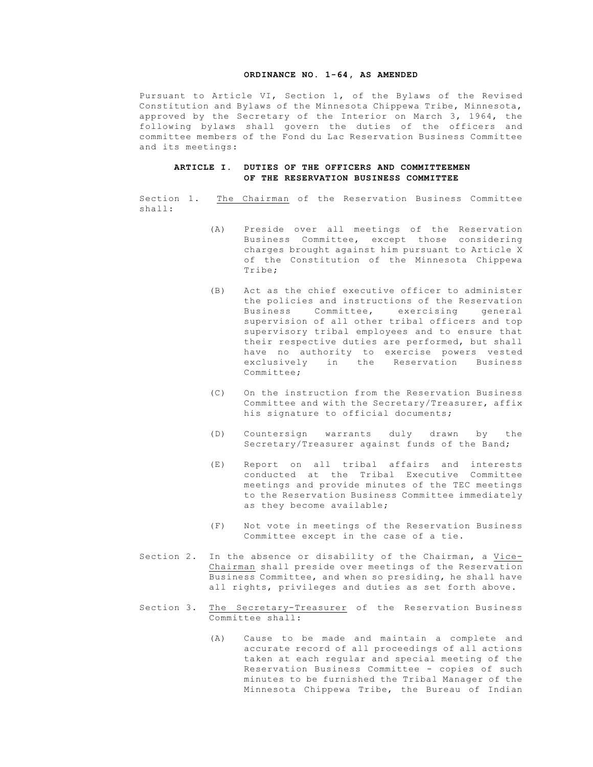#### **ORDINANCE NO. 1-64, AS AMENDED**

Pursuant to Article VI, Section 1, of the Bylaws of the Revised Constitution and Bylaws of the Minnesota Chippewa Tribe, Minnesota, approved by the Secretary of the Interior on March 3, 1964, the following bylaws shall govern the duties of the officers and committee members of the Fond du Lac Reservation Business Committee and its meetings:

# **ARTICLE I. DUTIES OF THE OFFICERS AND COMMITTEEMEN OF THE RESERVATION BUSINESS COMMITTEE**

Section 1. The Chairman of the Reservation Business Committee shall:

- (A) Preside over all meetings of the Reservation Business Committee, except those considering charges brought against him pursuant to Article X of the Constitution of the Minnesota Chippewa Tribe;
- (B) Act as the chief executive officer to administer the policies and instructions of the Reservation Business Committee, exercising general supervision of all other tribal officers and top supervisory tribal employees and to ensure that their respective duties are performed, but shall have no authority to exercise powers vested exclusively in the Reservation Business Committee;
- (C) On the instruction from the Reservation Business Committee and with the Secretary/Treasurer, affix his signature to official documents;
- (D) Countersign warrants duly drawn by the Secretary/Treasurer against funds of the Band;
- (E) Report on all tribal affairs and interests conducted at the Tribal Executive Committee meetings and provide minutes of the TEC meetings to the Reservation Business Committee immediately as they become available;
- (F) Not vote in meetings of the Reservation Business Committee except in the case of a tie.
- Section 2. In the absence or disability of the Chairman, a Vice-Chairman shall preside over meetings of the Reservation Business Committee, and when so presiding, he shall have all rights, privileges and duties as set forth above.
- Section 3. The Secretary-Treasurer of the Reservation Business Committee shall:
	- (A) Cause to be made and maintain a complete and accurate record of all proceedings of all actions taken at each regular and special meeting of the Reservation Business Committee - copies of such minutes to be furnished the Tribal Manager of the Minnesota Chippewa Tribe, the Bureau of Indian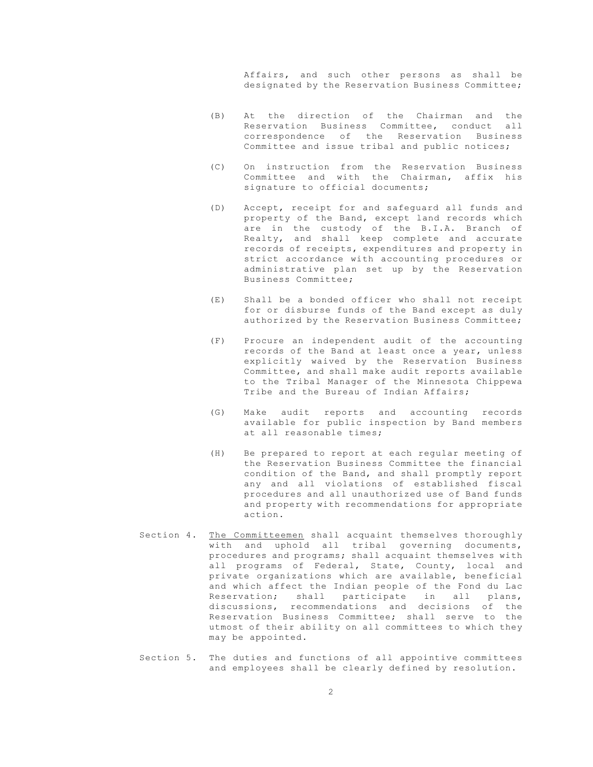Affairs, and such other persons as shall be designated by the Reservation Business Committee;

- (B) At the direction of the Chairman and the Reservation Business Committee, conduct all correspondence of the Reservation Business Committee and issue tribal and public notices;
- (C) On instruction from the Reservation Business Committee and with the Chairman, affix his signature to official documents;
- (D) Accept, receipt for and safeguard all funds and property of the Band, except land records which are in the custody of the B.I.A. Branch of Realty, and shall keep complete and accurate records of receipts, expenditures and property in strict accordance with accounting procedures or administrative plan set up by the Reservation Business Committee;
- (E) Shall be a bonded officer who shall not receipt for or disburse funds of the Band except as duly authorized by the Reservation Business Committee;
- (F) Procure an independent audit of the accounting records of the Band at least once a year, unless explicitly waived by the Reservation Business Committee, and shall make audit reports available to the Tribal Manager of the Minnesota Chippewa Tribe and the Bureau of Indian Affairs;
- (G) Make audit reports and accounting records available for public inspection by Band members at all reasonable times;
- (H) Be prepared to report at each regular meeting of the Reservation Business Committee the financial condition of the Band, and shall promptly report any and all violations of established fiscal procedures and all unauthorized use of Band funds and property with recommendations for appropriate action.
- Section 4. The Committeemen shall acquaint themselves thoroughly with and uphold all tribal governing documents, procedures and programs; shall acquaint themselves with all programs of Federal, State, County, local and private organizations which are available, beneficial and which affect the Indian people of the Fond du Lac<br>Reservation; shall participate in all plans, participate in all plans, discussions, recommendations and decisions of the Reservation Business Committee; shall serve to the utmost of their ability on all committees to which they may be appointed.
- Section 5. The duties and functions of all appointive committees and employees shall be clearly defined by resolution.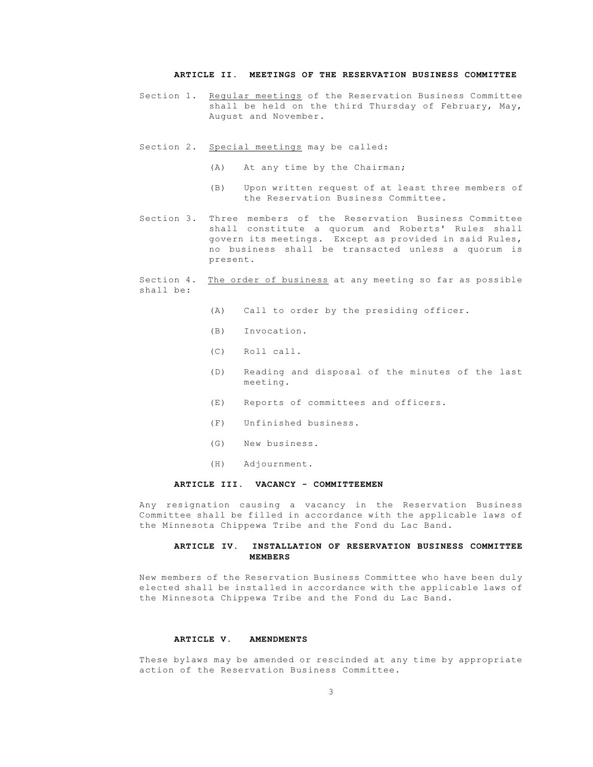# **ARTICLE II. MEETINGS OF THE RESERVATION BUSINESS COMMITTEE**

- Section 1. Regular meetings of the Reservation Business Committee shall be held on the third Thursday of February, May, August and November.
- Section 2. Special meetings may be called:
	- (A) At any time by the Chairman;
	- (B) Upon written request of at least three members of the Reservation Business Committee.
- Section 3. Three members of the Reservation Business Committee shall constitute a quorum and Roberts' Rules shall govern its meetings. Except as provided in said Rules, no business shall be transacted unless a quorum is present.

#### Section 4. The order of business at any meeting so far as possible shall be:

- (A) Call to order by the presiding officer.
- (B) Invocation.
- (C) Roll call.
- (D) Reading and disposal of the minutes of the last meeting.
- (E) Reports of committees and officers.
- (F) Unfinished business.
- (G) New business.
- (H) Adjournment.

# **ARTICLE III. VACANCY - COMMITTEEMEN**

Any resignation causing a vacancy in the Reservation Business Committee shall be filled in accordance with the applicable laws of the Minnesota Chippewa Tribe and the Fond du Lac Band.

#### **ARTICLE IV. INSTALLATION OF RESERVATION BUSINESS COMMITTEE MEMBERS**

New members of the Reservation Business Committee who have been duly elected shall be installed in accordance with the applicable laws of the Minnesota Chippewa Tribe and the Fond du Lac Band.

#### **ARTICLE V. AMENDMENTS**

These bylaws may be amended or rescinded at any time by appropriate action of the Reservation Business Committee.